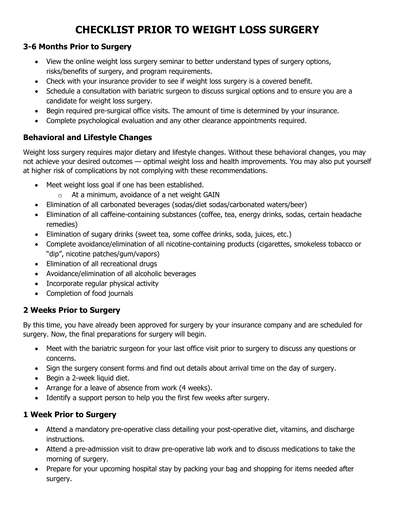# **CHECKLIST PRIOR TO WEIGHT LOSS SURGERY**

## **3-6 Months Prior to Surgery**

- View the online weight loss surgery seminar to better understand types of surgery options, risks/benefits of surgery, and program requirements.
- Check with your insurance provider to see if weight loss surgery is a covered benefit.
- Schedule a consultation with bariatric surgeon to discuss surgical options and to ensure you are a candidate for weight loss surgery.
- Begin required pre-surgical office visits. The amount of time is determined by your insurance.
- Complete psychological evaluation and any other clearance appointments required.

## **Behavioral and Lifestyle Changes**

Weight loss surgery requires major dietary and lifestyle changes. Without these behavioral changes, you may not achieve your desired outcomes — optimal weight loss and health improvements. You may also put yourself at higher risk of complications by not complying with these recommendations.

- Meet weight loss goal if one has been established.
	- $\circ$  At a minimum, avoidance of a net weight GAIN
- Elimination of all carbonated beverages (sodas/diet sodas/carbonated waters/beer)
- Elimination of all caffeine-containing substances (coffee, tea, energy drinks, sodas, certain headache remedies)
- Elimination of sugary drinks (sweet tea, some coffee drinks, soda, juices, etc.)
- Complete avoidance/elimination of all nicotine-containing products (cigarettes, smokeless tobacco or "dip", nicotine patches/gum/vapors)
- Elimination of all recreational drugs
- Avoidance/elimination of all alcoholic beverages
- Incorporate regular physical activity
- Completion of food journals

#### **2 Weeks Prior to Surgery**

By this time, you have already been approved for surgery by your insurance company and are scheduled for surgery. Now, the final preparations for surgery will begin.

- Meet with the bariatric surgeon for your last office visit prior to surgery to discuss any questions or concerns.
- Sign the surgery consent forms and find out details about arrival time on the day of surgery.
- Begin a 2-week liquid diet.
- Arrange for a leave of absence from work (4 weeks).
- Identify a support person to help you the first few weeks after surgery.

## **1 Week Prior to Surgery**

- Attend a mandatory pre-operative class detailing your post-operative diet, vitamins, and discharge instructions.
- Attend a pre-admission visit to draw pre-operative lab work and to discuss medications to take the morning of surgery.
- Prepare for your upcoming hospital stay by packing your bag and shopping for items needed after surgery.